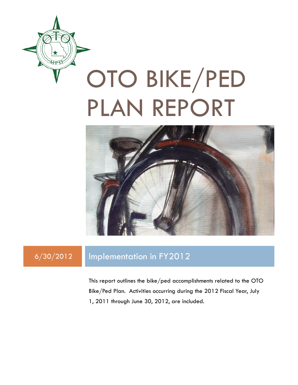

# OTO BIKE/PED PLAN REPORT



# 6/30/2012 Implementation in FY2012

This report outlines the bike/ped accomplishments related to the OTO Bike/Ped Plan. Activities occurring during the 2012 Fiscal Year, July 1, 2011 through June 30, 2012, are included.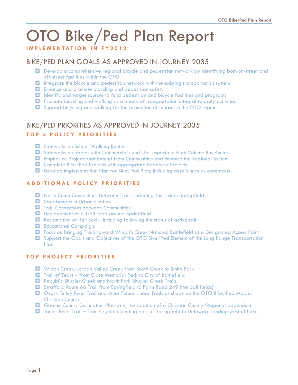# OTO Bike/Ped Plan Report

#### **I M P L E M E N T A T I O N I N F Y 2012**

# BIKE/PED PLAN GOALS AS APPROVED IN JOURNEY 2035

- Develop a comprehensive regional bicycle and pedestrian network by identifying both on-street and off-street facilities within the OTO
- Integrate the bicycle and pedestrian network with the existing transportation system
- $\Box$  Enhance and promote bicycling and pedestrian safety
- Identify and target sources to fund pedestrian and bicycle facilities and programs
- **D** Promote bicycling and walking as a means of transportation integral to daily activities
- $\Box$  Support bicycling and walking for the promotion of tourism in the OTO region

# BIKE/PED PRIORITIES AS APPROVED IN JOURNEY 2035

#### **TOP 5 POLICY PRIORITIES**

- $\Box$  Sidewalks on School Walking Routes
- Sidewalks on Streets with Commercial Land Use, especially High Volume Bus Routes
- Emphasize Projects that Extend from Communities and Enhance the Regional System
- $\Box$  Complete Bike/Ped Projects with appropriate Roadway Projects
- Develop Implementation Plan for Bike/Ped Plan, including details such as easements

#### **A D D I T I O N A L P O L I C Y P R I O R I T I E S**

- North-South Connections between Trails, including The Link in Springfield
- $\blacksquare$  Streetscapes in Urban Centers
- $\blacksquare$  Trail Connections between Communities
- Development of a Trail Loop around Springfield
- $\Box$  Reclamation of Rail Bed including following the status of active rail
- **E** Educational Campaign
- Focus on bringing Trails toward Wilson's Creek National Battlefield at a Designated Access Point
- $\Box$  Support the Goals and Objectives of the OTO Bike/Ped Element of the Long Range Transportation Plan

#### **T O P P R O J E C T P R I O R I T I E S**

- Wilson Creek/Jordan Valley Creek from South Creek to Smith Park
- Trail of Tears from Close Memorial Park to City of Battlefield
- Republic Shuyler Creek and North Fork Shuyler Creek Trails
- Strafford Route 66 Trail from Springfield to Farm Road 249 (the ball fields)
- Ozark Finley River Trail and other Future Linear Trails as shown on the OTO Bike/Ped Map in Christian County
- **D** Greene County Destination Plan with the addition of a Christian County/Regional addendum
- James River Trail from Crighton Landing east of Springfield to Delaware landing west of Nixa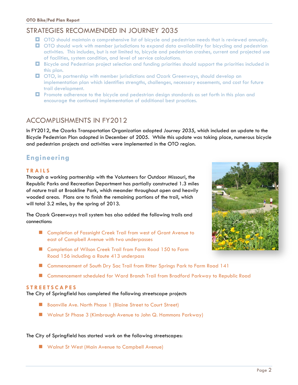# STRATEGIES RECOMMENDED IN JOURNEY 2035

- OTO should maintain a comprehensive list of bicycle and pedestrian needs that is reviewed annually.
- **OTO** should work with member jurisdictions to expand data availability for bicycling and pedestrian activities. This includes, but is not limited to, bicycle and pedestrian crashes, current and projected use of facilities, system condition, and level of service calculations.
- Bicycle and Pedestrian project selection and funding priorities should support the priorities included in this plan.
- OTO, in partnership with member jurisdictions and Ozark Greenways, should develop an implementation plan which identifies strengths, challenges, necessary easements, and cost for future trail development.
- **D** Promote adherence to the bicycle and pedestrian design standards as set forth in this plan and encourage the continued implementation of additional best practices.

# ACCOMPLISHMENTS IN FY2012

In FY2012, the Ozarks Transportation Organization adopted *Journey 2035*, which included an update to the Bicycle Pedestrian Plan adopted in December of 2005. While this update was taking place, numerous bicycle and pedestrian projects and activities were implemented in the OTO region.

# **Engineering**

#### **T R A I L S**

Through a working partnership with the Volunteers for Outdoor Missouri, the Republic Parks and Recreation Department has partially constructed 1.3 miles of nature trail at Brookline Park, which meander throughout open and heavily wooded areas. Plans are to finish the remaining portions of the trail, which will total 3.2 miles, by the spring of 2013.

The Ozark Greenways trail system has also added the following trails and connections:

- Completion of Fassnight Creek Trail from west of Grant Avenue to east of Campbell Avenue with two underpasses
- Completion of Wilson Creek Trail from Farm Road 150 to Farm Road 156 including a Route 413 underpass
- Commencement of South Dry Sac Trail from Ritter Springs Park to Farm Road 141
- Commencement scheduled for Ward Branch Trail from Bradford Parkway to Republic Road

#### **S T R E E T S C A P E S**

The City of Springfield has completed the following streetscape projects

- Boonville Ave. North Phase 1 (Blaine Street to Court Street)
- Walnut St Phase 3 (Kimbrough Avenue to John Q. Hammons Parkway)

#### The City of Springfield has started work on the following streetscapes:

**No Walnut St West (Main Avenue to Campbell Avenue)** 

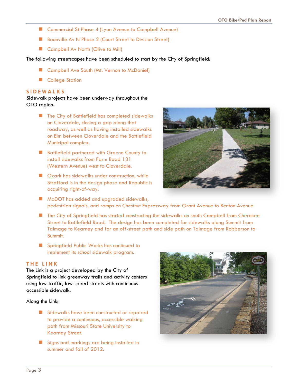- Commercial St Phase 4 (Lyon Avenue to Campbell Avenue)
- Boonville Av N Phase 2 (Court Street to Division Street)
- Campbell Av North (Olive to Mill)

The following streetscapes have been scheduled to start by the City of Springfield:

- Campbell Ave South (Mt. Vernon to McDaniel)
- College Station

#### **S I D E W A L K S**

Sidewalk projects have been underway throughout the OTO region.

- **The City of Battlefield has completed sidewalks** on Cloverdale, closing a gap along that roadway, as well as having installed sidewalks on Elm between Cloverdale and the Battlefield Municipal complex.
- **Battlefield partnered with Greene County to** install sidewalks from Farm Road 131 (Western Avenue) west to Cloverdale.
- **Deark has sidewalks under construction, while** Strafford is in the design phase and Republic is acquiring right-of-way.



- **MoDOT** has added and upgraded sidewalks, pedestrian signals, and ramps on Chestnut Expressway from Grant Avenue to Benton Avenue.
- **The City of Springfield has started constructing the sidewalks on south Campbell from Cherokee** Street to Battlefield Road. The design has been completed for sidewalks along Summit from Talmage to Kearney and for an off-street path and side path on Talmage from Robberson to Summit.
- **Springfield Public Works has continued to** implement its school sidewalk program.

#### **T H E L I N K**

The Link is a project developed by the City of Springfield to link greenway trails and activity centers using low-traffic, low-speed streets with continuous accessible sidewalk.

Along the Link:

- Sidewalks have been constructed or repaired to provide a continuous, accessible walking path from Missouri State University to Kearney Street.
- Signs and markings are being installed in summer and fall of 2012.

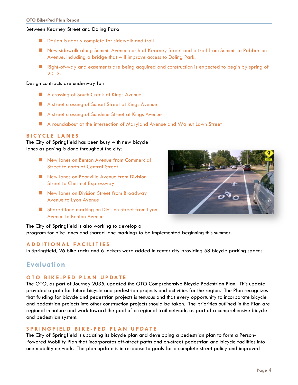#### Between Kearney Street and Doling Park:

- Design is nearly complete for sidewalk and trail
- New sidewalk along Summit Avenue north of Kearney Street and a trail from Summit to Robberson Avenue, including a bridge that will improve access to Doling Park.
- **Right-of-way and easements are being acquired and construction is expected to begin by spring of** 2013.

#### Design contracts are underway for:

- A crossing of South Creek at Kings Avenue
- A street crossing of Sunset Street at Kings Avenue
- **A street crossing of Sunshine Street at Kings Avenue**
- A roundabout at the intersection of Maryland Avenue and Walnut Lawn Street

#### **B I C Y C L E L A N E S**

The City of Springfield has been busy with new bicycle lanes as paving is done throughout the city:

- New lanes on Benton Avenue from Commercial Street to north of Central Street
- New lanes on Boonville Avenue from Division Street to Chestnut Expressway
- New lanes on Division Street from Broadway Avenue to Lyon Avenue
- **Shared lane marking on Division Street from Lyon** Avenue to Benton Avenue



The City of Springfield is also working to develop a program for bike lanes and shared lane markings to be implemented beginning this summer.

#### **A D D I T I O N A L F A C I L I T I E S**

In Springfield, 26 bike racks and 6 lockers were added in center city providing 58 bicycle parking spaces.

## **Evaluation**

#### **O T O B I K E - P E D P L A N U P D A T E**

The OTO, as part of Journey 2035, updated the OTO Comprehensive Bicycle Pedestrian Plan. This update provided a path for future bicycle and pedestrian projects and activities for the region. The Plan recognizes that funding for bicycle and pedestrian projects is tenuous and that every opportunity to incorporate bicycle and pedestrian projects into other construction projects should be taken. The priorities outlined in the Plan are regional in nature and work toward the goal of a regional trail network, as part of a comprehensive bicycle and pedestrian system.

#### **S P R I N G F I E L D B I K E - P E D P L A N U P D A T E**

The City of Springfield is updating its bicycle plan and developing a pedestrian plan to form a Person-Powered Mobility Plan that incorporates off-street paths and on-street pedestrian and bicycle facilities into one mobility network. The plan update is in response to goals for a complete street policy and improved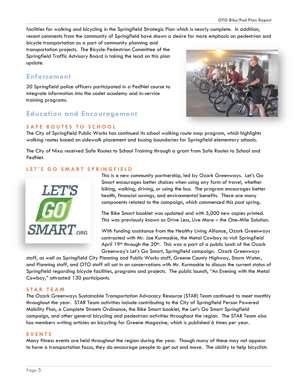facilities for walking and bicycling in the Springfield Strategic Plan which is nearly complete. In addition, recent comments from the community of Springfield have shown a desire for more emphasis on pedestrian and

bicycle transportation as a part of community planning and transportation projects. The Bicycle-Pedestrian Committee of the Springfield Traffic Advisory Board is taking the lead on this plan update.

## **Enforcement**

20 Springfield police officers participated in a PedNet course to integrate information into the cadet academy and in-service training programs.

# **Education and Encouragement**

#### **SAFE ROUTES TO SCHOOL**



The City of Springfield Public Works has continued its school walking route map program, which highlights walking routes based on sidewalk placement and busing boundaries for Springfield elementary schools.

The City of Nixa received Safe Routes to School Training through a grant from Safe Routes to School and PedNet.

#### LET'S GO SMART SPRINGFIELD



This is a new community partnership, led by Ozark Greenways. Let's Go Smart encourages better choices when using any form of travel, whether biking, walking, driving, or using the bus. The program encourages better health, financial savings, and environmental benefits. There are many components related to the campaign, which commenced this past spring.

The Bike Smart booklet was updated and with 5,000 new copies printed. This was previously known as Drive Less, Live More – the One-Mile Solution.

With funding assistance from the Healthy Living Alliance, Ozark Greenways contracted with Mr. Joe Kurmaskie, the Metal Cowboy to visit Springfield April 19<sup>th</sup> through the 20<sup>th</sup>. This was a part of a public lunch of the Ozark Greenway's Let's Go Smart, Springfield campaign. Ozark Greenways

staff, as well as Springfield City Planning and Public Works staff, Greene County Highway, Storm Water, and Planning staff, and OTO staff all sat in on conservations with Mr. Kurmaskie to discuss the current status of Springfield regarding bicycle facilities, programs and projects. The public launch, "An Evening with the Metal Cowboy," attracted 130 participants.

#### **S T A R T E A M**

The Ozark Greenways Sustainable Transportation Advocacy Resource (STAR) Team continued to meet monthly throughout the year. STAR Team activities include contributing to the City of Springfield Person Powered Mobility Plan, a Complete Streets Ordinance, the Bike Smart booklet, the Let's Go Smart Springfield campaign, and other general bicycling and pedestrian activities throughout the region. The STAR Team also has members writing articles on bicycling for Greene Magazine, which is published 6 times per year.

#### **E V E N T S**

Many fitness events are held throughout the region during the year. Though many of these may not appear to have a transportation focus, they do encourage people to get out and move. The ability to help bicyclists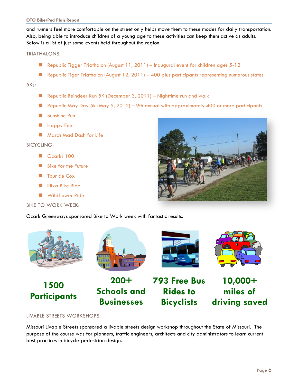#### **OTO Bike/Ped Plan Report**

and runners feel more comfortable on the street only helps move them to these modes for daily transportation. Also, being able to introduce children of a young age to these activities can keep them active as adults. Below is a list of just some events held throughout the region.

#### TRIATHALONS:

- Republic Tigger Triathalon (August  $11, 2011$ ) Inaugural event for children ages  $5-12$
- Republic Tiger Triathalon (August 12, 2011) 400 plus participants representing numerous states

#### $5K<sub>S</sub>$ :

- Republic Reindeer Run 5K (December 3, 2011) Nighttime run and walk
- Republic May Day 5k (May 5, 2012) 9th annual with approximately 400 or more participants
- Sunshine Run
- **Happy Feet**
- **March Mad Dash for Life**

#### BICYCLING:

- Ozarks 100
- **Bike for the Future**
- **Tour de Cox**
- Nixa Bike Ride
- **Number 2018**

#### BIKE TO WORK WEEK:

Ozark Greenways sponsored Bike to Work week with fantastic results.













**793 Free Bus Rides to Bicyclists 10,000+ miles of driving saved**

LIVABLE STREETS WORKSHOPS:

Missouri Livable Streets sponsored a livable streets design workshop throughout the State of Missouri. The purpose of the course was for planners, traffic engineers, architects and city administrators to learn current best practices in bicycle-pedestrian design.